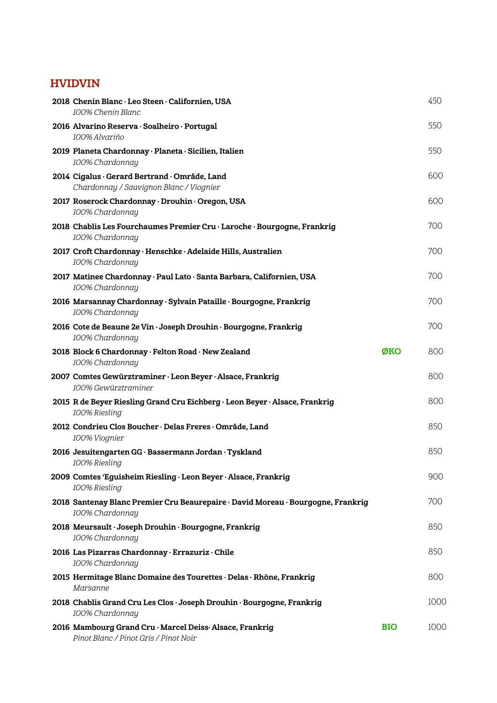## HVIDVIN

| 2018 Chenin Blanc · Leo Steen · Californien, USA<br>100% Chenin Blanc                               |            | 450  |
|-----------------------------------------------------------------------------------------------------|------------|------|
| 2016 Alvarino Reserva · Soalheiro · Portugal<br>100% Alvariño                                       |            | 550  |
| 2019 Planeta Chardonnay · Planeta · Sicilien, Italien<br>100% Chardonnay                            |            | 550  |
| 2014 Cigalus · Gerard Bertrand · Område, Land<br>Chardonnay / Sauvignon Blanc / Viognier            |            | 600  |
| 2017 Roserock Chardonnay · Drouhin · Oregon, USA<br>100% Chardonnay                                 |            | 600  |
| 2018 Chablis Les Fourchaumes Premier Cru · Laroche · Bourgogne, Frankrig<br>100% Chardonnay         |            | 700  |
| 2017 Croft Chardonnay · Henschke · Adelaide Hills, Australien<br>100% Chardonnay                    |            | 700  |
| 2017 Matinee Chardonnay · Paul Lato · Santa Barbara, Californien, USA<br>100% Chardonnay            |            | 700  |
| 2016 Marsannay Chardonnay · Sylvain Pataille · Bourgogne, Frankrig<br>100% Chardonnay               |            | 700  |
| 2016 Cote de Beaune 2e Vin · Joseph Drouhin · Bourgogne, Frankrig<br>100% Chardonnay                |            | 700  |
| 2018 Block 6 Chardonnay · Felton Road · New Zealand<br>100% Chardonnay                              | ØKO        | 800  |
| 2007 Comtes Gewürztraminer · Leon Beyer · Alsace, Frankrig<br>100% Gewürztraminer                   |            | 800  |
| 2015 R de Beyer Riesling Grand Cru Eichberg · Leon Beyer · Alsace, Frankrig<br>100% Riesling        |            | 800  |
| 2012 Condrieu Clos Boucher · Delas Freres · Område, Land<br>100% Viognier                           |            | 850  |
| 2016 Jesuitengarten GG · Bassermann Jordan · Tyskland<br>100% Riesling                              |            | 850  |
| 2009 Comtes 'Eguisheim Riesling · Leon Beyer · Alsace, Frankrig<br>100% Riesling                    |            | 900  |
| 2018 Santenay Blanc Premier Cru Beaurepaire · David Moreau · Bourgogne, Frankrig<br>100% Chardonnay |            | 700  |
| 2018 Meursault · Joseph Drouhin · Bourgogne, Frankrig<br>100% Chardonnay                            |            | 850  |
| 2016 Las Pizarras Chardonnay · Errazuriz · Chile<br>100% Chardonnay                                 |            | 850  |
| 2015 Hermitage Blanc Domaine des Tourettes · Delas · Rhône, Frankrig<br>Marsanne                    |            | 800  |
| 2018 Chablis Grand Cru Les Clos · Joseph Drouhin · Bourgogne, Frankrig<br>100% Chardonnay           |            | 1000 |
| 2016 Mambourg Grand Cru · Marcel Deiss · Alsace, Frankrig<br>Pinot Blanc / Pinot Gris / Pinot Noir  | <b>BIO</b> | 1000 |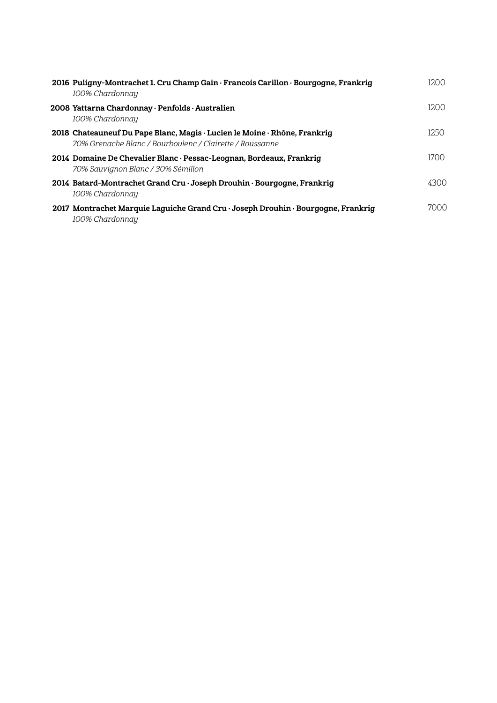| 2016 Puligny-Montrachet 1. Cru Champ Gain · Francois Carillon · Bourgogne, Frankrig<br>100% Chardonnay                                | 1200 |
|---------------------------------------------------------------------------------------------------------------------------------------|------|
| 2008 Yattarna Chardonnay · Penfolds · Australien<br>100% Chardonnay                                                                   | 1200 |
| 2018 Chateauneuf Du Pape Blanc, Magis · Lucien le Moine · Rhône, Frankrig<br>70% Grenache Blanc / Bourboulenc / Clairette / Roussanne | 1250 |
| 2014 Domaine De Chevalier Blanc · Pessac-Leognan, Bordeaux, Frankrig<br>70% Sauvignon Blanc / 30% Sémillon                            | 1700 |
| 2014 Batard-Montrachet Grand Cru · Joseph Drouhin · Bourgogne, Frankrig<br>100% Chardonnay                                            | 4300 |
| 2017 Montrachet Marquie Laguiche Grand Cru · Joseph Drouhin · Bourgogne, Frankrig<br>100% Chardonnay                                  | 7000 |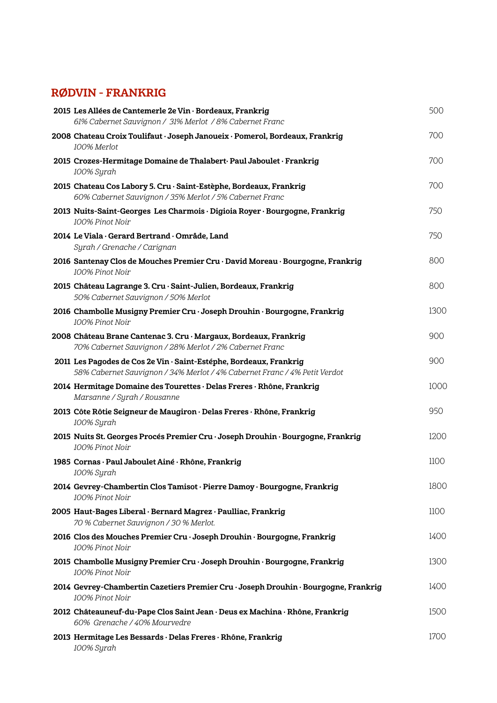## RØDVIN - FRANKRIG

| 2015 Les Allées de Cantemerle 2e Vin · Bordeaux, Frankrig<br>61% Cabernet Sauvignon / 31% Merlot / 8% Cabernet Franc                            | 500  |
|-------------------------------------------------------------------------------------------------------------------------------------------------|------|
| 2008 Chateau Croix Toulifaut · Joseph Janoueix · Pomerol, Bordeaux, Frankrig<br>100% Merlot                                                     | 700  |
| 2015 Crozes-Hermitage Domaine de Thalabert Paul Jaboulet · Frankrig<br>100% Syrah                                                               | 700  |
| 2015 Chateau Cos Labory 5. Cru · Saint-Estèphe, Bordeaux, Frankrig<br>60% Cabernet Sauvignon / 35% Merlot / 5% Cabernet Franc                   | 700  |
| 2013 Nuits-Saint-Georges Les Charmois · Digioia Royer · Bourgogne, Frankrig<br>100% Pinot Noir                                                  | 750  |
| 2014 Le Viala · Gerard Bertrand · Område, Land<br>Syrah / Grenache / Carignan                                                                   | 750  |
| 2016 Santenay Clos de Mouches Premier Cru · David Moreau · Bourgogne, Frankrig<br>100% Pinot Noir                                               | 800  |
| 2015 Château Lagrange 3. Cru · Saint-Julien, Bordeaux, Frankrig<br>50% Cabernet Sauvignon / 50% Merlot                                          | 800  |
| 2016 Chambolle Musigny Premier Cru · Joseph Drouhin · Bourgogne, Frankrig<br>100% Pinot Noir                                                    | 1300 |
| 2008 Château Brane Cantenac 3. Cru · Margaux, Bordeaux, Frankrig<br>70% Cabernet Sauvignon / 28% Merlot / 2% Cabernet Franc                     | 900  |
| 2011 Les Pagodes de Cos 2e Vin · Saint-Estéphe, Bordeaux, Frankrig<br>58% Cabernet Sauvignon / 34% Merlot / 4% Cabernet Franc / 4% Petit Verdot | 900  |
| 2014 Hermitage Domaine des Tourettes · Delas Freres · Rhône, Frankrig<br>Marsanne / Syrah / Rousanne                                            | 1000 |
| 2013 Côte Rôtie Seigneur de Maugiron · Delas Freres · Rhône, Frankrig<br>100% Syrah                                                             | 950  |
| 2015 Nuits St. Georges Procés Premier Cru · Joseph Drouhin · Bourgogne, Frankrig<br>100% Pinot Noir                                             | 1200 |
| 1985 Cornas · Paul Jaboulet Ainé · Rhône, Frankrig<br>100% Syrah                                                                                | 1100 |
| 2014 Gevrey-Chambertin Clos Tamisot · Pierre Damoy · Bourgogne, Frankrig<br>100% Pinot Noir                                                     | 1800 |
| 2005 Haut-Bages Liberal · Bernard Magrez · Paulliac, Frankrig<br>70 % Cabernet Sauvignon / 30 % Merlot.                                         | 1100 |
| 2016 Clos des Mouches Premier Cru · Joseph Drouhin · Bourgogne, Frankrig<br>100% Pinot Noir                                                     | 1400 |
| 2015 Chambolle Musigny Premier Cru · Joseph Drouhin · Bourgogne, Frankrig<br>100% Pinot Noir                                                    | 1300 |
| 2014 Gevrey-Chambertin Cazetiers Premier Cru · Joseph Drouhin · Bourgogne, Frankrig<br>100% Pinot Noir                                          | 1400 |
| 2012 Châteauneuf-du-Pape Clos Saint Jean · Deus ex Machina · Rhône, Frankrig<br>60% Grenache / 40% Mourvedre                                    | 1500 |
| 2013 Hermitage Les Bessards · Delas Freres · Rhône, Frankrig<br>100% Syrah                                                                      | 1700 |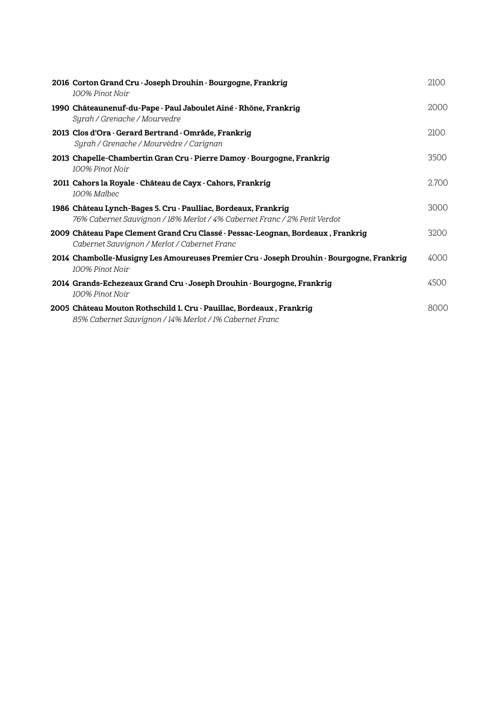| 2016 Corton Grand Cru · Joseph Drouhin · Bourgogne, Frankrig<br>100% Pinot Noir                                                             | 2100  |
|---------------------------------------------------------------------------------------------------------------------------------------------|-------|
| 1990 Châteaunenuf-du-Pape · Paul Jaboulet Ainé · Rhône, Frankrig<br>Syrah / Grenache / Mourvedre                                            | 2000  |
| 2013 Clos d'Ora · Gerard Bertrand · Område, Frankrig<br>Syrah / Grenache / Mourvèdre / Carignan                                             | 2100  |
| 2013 Chapelle-Chambertin Gran Cru · Pierre Damoy · Bourgogne, Frankrig<br>100% Pinot Noir                                                   | 3500  |
| 2011 Cahors la Royale · Château de Cayx · Cahors, Frankrig<br>100% Malhec                                                                   | 2.700 |
| 1986 Château Lynch-Bages 5. Cru · Paulliac, Bordeaux, Frankrig<br>76% Cabernet Sauvignon / 18% Merlot / 4% Cabernet Franc / 2% Petit Verdot | 3000  |
| 2009 Château Pape Clement Grand Cru Classé · Pessac-Leognan, Bordeaux , Frankrig<br>Cabernet Sauvignon / Merlot / Cabernet Franc            | 3200  |
| 2014 Chambolle-Musigny Les Amoureuses Premier Cru · Joseph Drouhin · Bourgogne, Frankrig<br>100% Pinot Noir                                 | 4000  |
| 2014 Grands-Echezeaux Grand Cru · Joseph Drouhin · Bourgogne, Frankrig<br>100% Pinot Noir                                                   | 4500  |
| 2005 Château Mouton Rothschild 1. Cru · Pauillac, Bordeaux , Frankrig<br>85% Cabernet Sauvignon / 14% Merlot / 1% Cabernet Franc            | 8000  |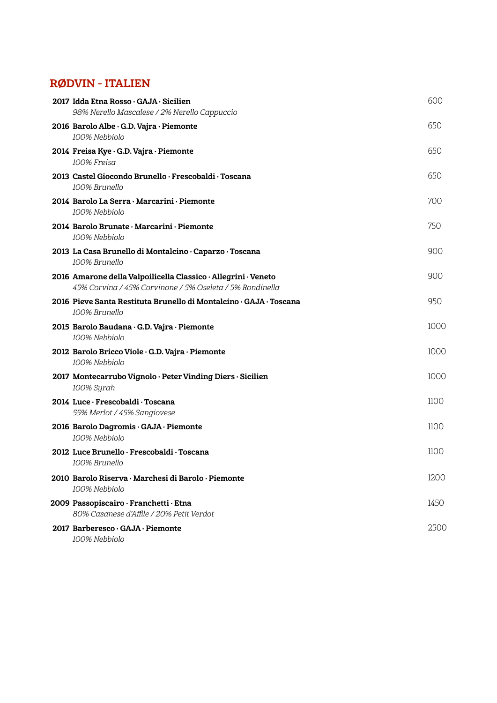## RØDVIN - ITALIEN

| 2017 Idda Etna Rosso · GAJA · Sicilien<br>98% Nerello Mascalese / 2% Nerello Cappuccio                                     | 600  |
|----------------------------------------------------------------------------------------------------------------------------|------|
| 2016 Barolo Albe · G.D. Vajra · Piemonte<br>100% Nebbiolo                                                                  | 650  |
| 2014 Freisa Kye · G.D. Vajra · Piemonte<br>100% Freisa                                                                     | 650  |
| 2013 Castel Giocondo Brunello · Frescobaldi · Toscana<br>100% Brunello                                                     | 650  |
| 2014 Barolo La Serra · Marcarini · Piemonte<br>100% Nebbiolo                                                               | 700  |
| 2014 Barolo Brunate · Marcarini · Piemonte<br>100% Nebbiolo                                                                | 750  |
| 2013 La Casa Brunello di Montalcino · Caparzo · Toscana<br>100% Brunello                                                   | 900  |
| 2016 Amarone della Valpoilicella Classico · Allegrini · Veneto<br>45% Corvina / 45% Corvinone / 5% Oseleta / 5% Rondinella | 900  |
| 2016 Pieve Santa Restituta Brunello di Montalcino · GAJA · Toscana<br>100% Brunello                                        | 950  |
| 2015 Barolo Baudana · G.D. Vajra · Piemonte<br>100% Nebbiolo                                                               | 1000 |
| 2012 Barolo Bricco Viole · G.D. Vajra · Piemonte<br>100% Nebbiolo                                                          | 1000 |
| 2017 Montecarrubo Vignolo · Peter Vinding Diers · Sicilien<br>100% Syrah                                                   | 1000 |
| 2014 Luce · Frescobaldi · Toscana<br>55% Merlot / 45% Sangiovese                                                           | 1100 |
| 2016 Barolo Dagromis · GAJA · Piemonte<br>100% Nebbiolo                                                                    | 1100 |
| 2012 Luce Brunello · Frescobaldi · Toscana<br>100% Brunello                                                                | 1100 |
| 2010 Barolo Riserva · Marchesi di Barolo · Piemonte<br>100% Nebbiolo                                                       | 1200 |
| 2009 Passopiscairo · Franchetti · Etna<br>80% Casanese d'Affile / 20% Petit Verdot                                         | 1450 |
| 2017 Barberesco · GAJA · Piemonte<br>100% Nebbiolo                                                                         | 250C |